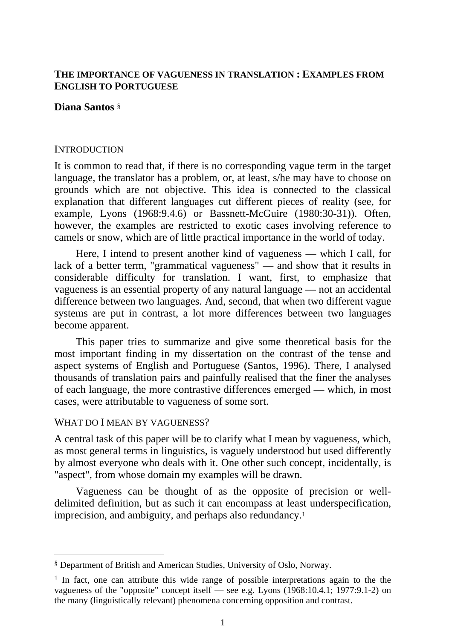# **THE IMPORTANCE OF VAGUENESS IN TRANSLATION : EXAMPLES FROM ENGLISH TO PORTUGUESE**

## **Diana Santos** §

#### **INTRODUCTION**

It is common to read that, if there is no corresponding vague term in the target language, the translator has a problem, or, at least, s/he may have to choose on grounds which are not objective. This idea is connected to the classical explanation that different languages cut different pieces of reality (see, for example, Lyons (1968:9.4.6) or Bassnett-McGuire (1980:30-31)). Often, however, the examples are restricted to exotic cases involving reference to camels or snow, which are of little practical importance in the world of today.

Here, I intend to present another kind of vagueness — which I call, for lack of a better term, "grammatical vagueness" — and show that it results in considerable difficulty for translation. I want, first, to emphasize that vagueness is an essential property of any natural language — not an accidental difference between two languages. And, second, that when two different vague systems are put in contrast, a lot more differences between two languages become apparent.

This paper tries to summarize and give some theoretical basis for the most important finding in my dissertation on the contrast of the tense and aspect systems of English and Portuguese (Santos, 1996). There, I analysed thousands of translation pairs and painfully realised that the finer the analyses of each language, the more contrastive differences emerged — which, in most cases, were attributable to vagueness of some sort.

### WHAT DO I MEAN BY VAGUENESS?

 $\overline{a}$ 

A central task of this paper will be to clarify what I mean by vagueness, which, as most general terms in linguistics, is vaguely understood but used differently by almost everyone who deals with it. One other such concept, incidentally, is "aspect", from whose domain my examples will be drawn.

Vagueness can be thought of as the opposite of precision or welldelimited definition, but as such it can encompass at least underspecification, imprecision, and ambiguity, and perhaps also redundancy.1

<sup>§</sup> Department of British and American Studies, University of Oslo, Norway.

<sup>1</sup> In fact, one can attribute this wide range of possible interpretations again to the the vagueness of the "opposite" concept itself — see e.g. Lyons (1968:10.4.1; 1977:9.1-2) on the many (linguistically relevant) phenomena concerning opposition and contrast.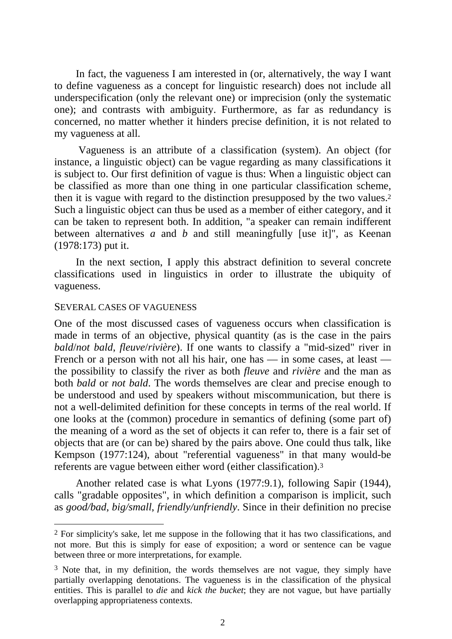In fact, the vagueness I am interested in (or, alternatively, the way I want to define vagueness as a concept for linguistic research) does not include all underspecification (only the relevant one) or imprecision (only the systematic one); and contrasts with ambiguity. Furthermore, as far as redundancy is concerned, no matter whether it hinders precise definition, it is not related to my vagueness at all.

 Vagueness is an attribute of a classification (system). An object (for instance, a linguistic object) can be vague regarding as many classifications it is subject to. Our first definition of vague is thus: When a linguistic object can be classified as more than one thing in one particular classification scheme, then it is vague with regard to the distinction presupposed by the two values.2 Such a linguistic object can thus be used as a member of either category, and it can be taken to represent both. In addition, "a speaker can remain indifferent between alternatives *a* and *b* and still meaningfully [use it]", as Keenan (1978:173) put it.

In the next section, I apply this abstract definition to several concrete classifications used in linguistics in order to illustrate the ubiquity of vagueness.

#### SEVERAL CASES OF VAGUENESS

 $\overline{a}$ 

One of the most discussed cases of vagueness occurs when classification is made in terms of an objective, physical quantity (as is the case in the pairs *bald*/*not bald*, *fleuve*/*rivière*). If one wants to classify a "mid-sized" river in French or a person with not all his hair, one has — in some cases, at least the possibility to classify the river as both *fleuve* and *rivière* and the man as both *bald* or *not bald*. The words themselves are clear and precise enough to be understood and used by speakers without miscommunication, but there is not a well-delimited definition for these concepts in terms of the real world. If one looks at the (common) procedure in semantics of defining (some part of) the meaning of a word as the set of objects it can refer to, there is a fair set of objects that are (or can be) shared by the pairs above. One could thus talk, like Kempson (1977:124), about "referential vagueness" in that many would-be referents are vague between either word (either classification).3

Another related case is what Lyons (1977:9.1), following Sapir (1944), calls "gradable opposites", in which definition a comparison is implicit, such as *good/bad*, *big/small*, *friendly/unfriendly*. Since in their definition no precise

<sup>2</sup> For simplicity's sake, let me suppose in the following that it has two classifications, and not more. But this is simply for ease of exposition; a word or sentence can be vague between three or more interpretations, for example.

 $3$  Note that, in my definition, the words themselves are not vague, they simply have partially overlapping denotations. The vagueness is in the classification of the physical entities. This is parallel to *die* and *kick the bucket*; they are not vague, but have partially overlapping appropriateness contexts.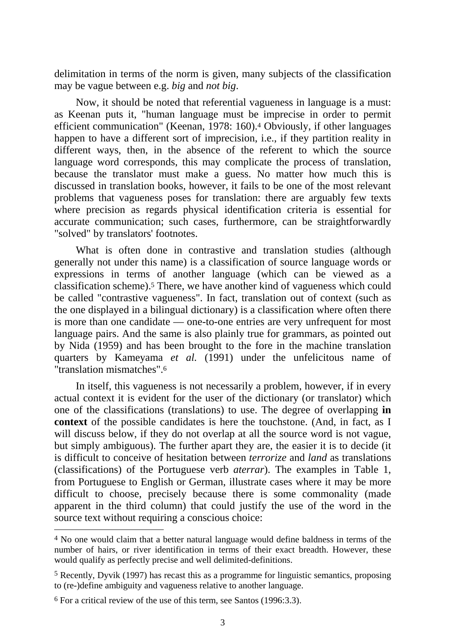delimitation in terms of the norm is given, many subjects of the classification may be vague between e.g. *big* and *not big*.

Now, it should be noted that referential vagueness in language is a must: as Keenan puts it, "human language must be imprecise in order to permit efficient communication" (Keenan, 1978: 160).4 Obviously, if other languages happen to have a different sort of imprecision, i.e., if they partition reality in different ways, then, in the absence of the referent to which the source language word corresponds, this may complicate the process of translation, because the translator must make a guess. No matter how much this is discussed in translation books, however, it fails to be one of the most relevant problems that vagueness poses for translation: there are arguably few texts where precision as regards physical identification criteria is essential for accurate communication; such cases, furthermore, can be straightforwardly "solved" by translators' footnotes.

What is often done in contrastive and translation studies (although generally not under this name) is a classification of source language words or expressions in terms of another language (which can be viewed as a classification scheme).5 There, we have another kind of vagueness which could be called "contrastive vagueness". In fact, translation out of context (such as the one displayed in a bilingual dictionary) is a classification where often there is more than one candidate — one-to-one entries are very unfrequent for most language pairs. And the same is also plainly true for grammars, as pointed out by Nida (1959) and has been brought to the fore in the machine translation quarters by Kameyama *et al.* (1991) under the unfelicitous name of "translation mismatches".6

In itself, this vagueness is not necessarily a problem, however, if in every actual context it is evident for the user of the dictionary (or translator) which one of the classifications (translations) to use. The degree of overlapping **in context** of the possible candidates is here the touchstone. (And, in fact, as I will discuss below, if they do not overlap at all the source word is not vague, but simply ambiguous). The further apart they are, the easier it is to decide (it is difficult to conceive of hesitation between *terrorize* and *land* as translations (classifications) of the Portuguese verb *aterrar*). The examples in Table 1, from Portuguese to English or German, illustrate cases where it may be more difficult to choose, precisely because there is some commonality (made apparent in the third column) that could justify the use of the word in the source text without requiring a conscious choice:

<sup>4</sup> No one would claim that a better natural language would define baldness in terms of the number of hairs, or river identification in terms of their exact breadth. However, these would qualify as perfectly precise and well delimited-definitions.

<sup>5</sup> Recently, Dyvik (1997) has recast this as a programme for linguistic semantics, proposing to (re-)define ambiguity and vagueness relative to another language.

<sup>6</sup> For a critical review of the use of this term, see Santos (1996:3.3).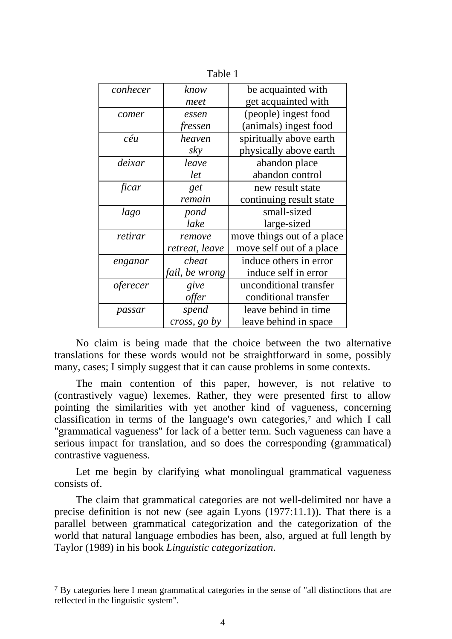| conhecer | know           | be acquainted with         |  |  |  |
|----------|----------------|----------------------------|--|--|--|
|          | meet           | get acquainted with        |  |  |  |
| comer    | essen          | (people) ingest food       |  |  |  |
|          | fressen        | (animals) ingest food      |  |  |  |
| céu      | heaven         | spiritually above earth    |  |  |  |
|          | sky            | physically above earth     |  |  |  |
| deixar   | leave          | abandon place              |  |  |  |
|          | let            | abandon control            |  |  |  |
| ficar    | get            | new result state           |  |  |  |
|          | remain         | continuing result state    |  |  |  |
| lago     | pond           | small-sized                |  |  |  |
|          | lake           | large-sized                |  |  |  |
| retirar  | remove         | move things out of a place |  |  |  |
|          | retreat, leave | move self out of a place   |  |  |  |
| enganar  | cheat          | induce others in error     |  |  |  |
|          | fail, be wrong | induce self in error       |  |  |  |
| oferecer | give           | unconditional transfer     |  |  |  |
|          | offer          | conditional transfer       |  |  |  |
| passar   | spend          | leave behind in time       |  |  |  |
|          | cross, go by   | leave behind in space      |  |  |  |

Table 1

No claim is being made that the choice between the two alternative translations for these words would not be straightforward in some, possibly many, cases; I simply suggest that it can cause problems in some contexts.

The main contention of this paper, however, is not relative to (contrastively vague) lexemes. Rather, they were presented first to allow pointing the similarities with yet another kind of vagueness, concerning classification in terms of the language's own categories,7 and which I call "grammatical vagueness" for lack of a better term. Such vagueness can have a serious impact for translation, and so does the corresponding (grammatical) contrastive vagueness.

Let me begin by clarifying what monolingual grammatical vagueness consists of.

The claim that grammatical categories are not well-delimited nor have a precise definition is not new (see again Lyons (1977:11.1)). That there is a parallel between grammatical categorization and the categorization of the world that natural language embodies has been, also, argued at full length by Taylor (1989) in his book *Linguistic categorization*.

<sup>7</sup> By categories here I mean grammatical categories in the sense of "all distinctions that are reflected in the linguistic system".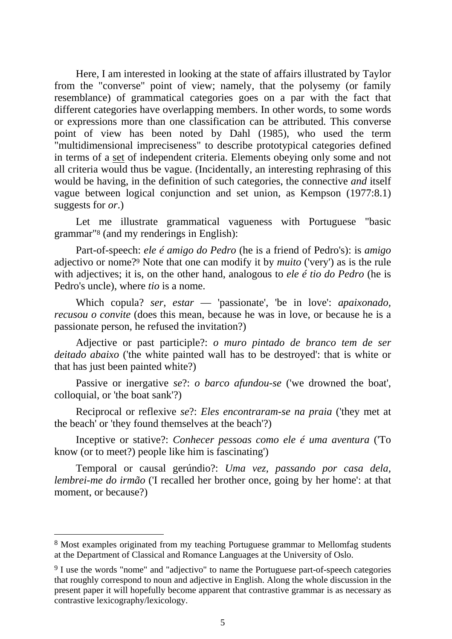Here, I am interested in looking at the state of affairs illustrated by Taylor from the "converse" point of view; namely, that the polysemy (or family resemblance) of grammatical categories goes on a par with the fact that different categories have overlapping members. In other words, to some words or expressions more than one classification can be attributed. This converse point of view has been noted by Dahl (1985), who used the term "multidimensional impreciseness" to describe prototypical categories defined in terms of a set of independent criteria. Elements obeying only some and not all criteria would thus be vague. (Incidentally, an interesting rephrasing of this would be having, in the definition of such categories, the connective *and* itself vague between logical conjunction and set union, as Kempson (1977:8.1) suggests for *or*.)

Let me illustrate grammatical vagueness with Portuguese "basic grammar"8 (and my renderings in English):

Part-of-speech: *ele é amigo do Pedro* (he is a friend of Pedro's): is *amigo* adjectivo or nome?9 Note that one can modify it by *muito* ('very') as is the rule with adjectives; it is, on the other hand, analogous to *ele é tio do Pedro* (he is Pedro's uncle), where *tio* is a nome.

Which copula? *ser*, *estar* — 'passionate', 'be in love': *apaixonado, recusou o convite* (does this mean, because he was in love, or because he is a passionate person, he refused the invitation?)

Adjective or past participle?: *o muro pintado de branco tem de ser deitado abaixo* ('the white painted wall has to be destroyed': that is white or that has just been painted white?)

Passive or inergative *se*?: *o barco afundou-se* ('we drowned the boat', colloquial, or 'the boat sank'?)

Reciprocal or reflexive *se*?: *Eles encontraram-se na praia* ('they met at the beach' or 'they found themselves at the beach'?)

Inceptive or stative?: *Conhecer pessoas como ele é uma aventura* ('To know (or to meet?) people like him is fascinating')

Temporal or causal gerúndio?: *Uma vez, passando por casa dela, lembrei-me do irmão* ('I recalled her brother once, going by her home': at that moment, or because?)

<sup>8</sup> Most examples originated from my teaching Portuguese grammar to Mellomfag students at the Department of Classical and Romance Languages at the University of Oslo.

<sup>&</sup>lt;sup>9</sup> I use the words "nome" and "adjectivo" to name the Portuguese part-of-speech categories that roughly correspond to noun and adjective in English. Along the whole discussion in the present paper it will hopefully become apparent that contrastive grammar is as necessary as contrastive lexicography/lexicology.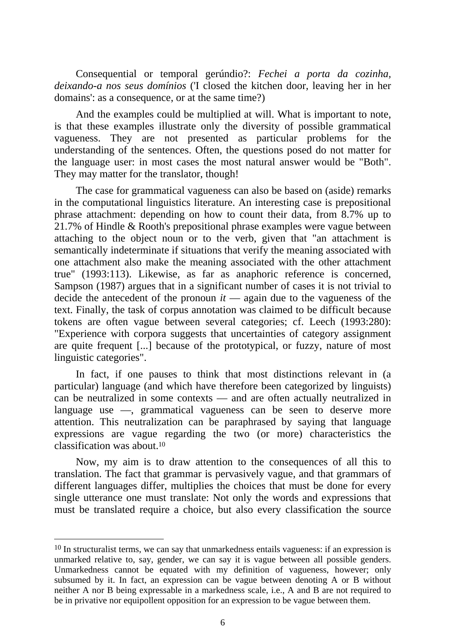Consequential or temporal gerúndio?: *Fechei a porta da cozinha, deixando-a nos seus domínios* ('I closed the kitchen door, leaving her in her domains': as a consequence, or at the same time?)

And the examples could be multiplied at will. What is important to note, is that these examples illustrate only the diversity of possible grammatical vagueness. They are not presented as particular problems for the understanding of the sentences. Often, the questions posed do not matter for the language user: in most cases the most natural answer would be "Both". They may matter for the translator, though!

The case for grammatical vagueness can also be based on (aside) remarks in the computational linguistics literature. An interesting case is prepositional phrase attachment: depending on how to count their data, from 8.7% up to 21.7% of Hindle & Rooth's prepositional phrase examples were vague between attaching to the object noun or to the verb, given that "an attachment is semantically indeterminate if situations that verify the meaning associated with one attachment also make the meaning associated with the other attachment true" (1993:113). Likewise, as far as anaphoric reference is concerned, Sampson (1987) argues that in a significant number of cases it is not trivial to decide the antecedent of the pronoun *it* — again due to the vagueness of the text. Finally, the task of corpus annotation was claimed to be difficult because tokens are often vague between several categories; cf. Leech (1993:280): "Experience with corpora suggests that uncertainties of category assignment are quite frequent [...] because of the prototypical, or fuzzy, nature of most linguistic categories".

In fact, if one pauses to think that most distinctions relevant in (a particular) language (and which have therefore been categorized by linguists) can be neutralized in some contexts — and are often actually neutralized in language use —, grammatical vagueness can be seen to deserve more attention. This neutralization can be paraphrased by saying that language expressions are vague regarding the two (or more) characteristics the classification was about.10

Now, my aim is to draw attention to the consequences of all this to translation. The fact that grammar is pervasively vague, and that grammars of different languages differ, multiplies the choices that must be done for every single utterance one must translate: Not only the words and expressions that must be translated require a choice, but also every classification the source

<sup>&</sup>lt;sup>10</sup> In structuralist terms, we can say that unmarkedness entails vagueness: if an expression is unmarked relative to, say, gender, we can say it is vague between all possible genders. Unmarkedness cannot be equated with my definition of vagueness, however; only subsumed by it. In fact, an expression can be vague between denoting A or B without neither A nor B being expressable in a markedness scale, i.e., A and B are not required to be in privative nor equipollent opposition for an expression to be vague between them.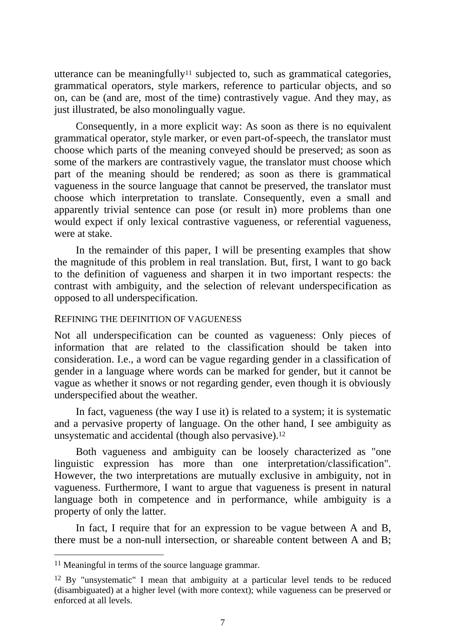utterance can be meaningfully<sup>11</sup> subjected to, such as grammatical categories, grammatical operators, style markers, reference to particular objects, and so on, can be (and are, most of the time) contrastively vague. And they may, as just illustrated, be also monolingually vague.

Consequently, in a more explicit way: As soon as there is no equivalent grammatical operator, style marker, or even part-of-speech, the translator must choose which parts of the meaning conveyed should be preserved; as soon as some of the markers are contrastively vague, the translator must choose which part of the meaning should be rendered; as soon as there is grammatical vagueness in the source language that cannot be preserved, the translator must choose which interpretation to translate. Consequently, even a small and apparently trivial sentence can pose (or result in) more problems than one would expect if only lexical contrastive vagueness, or referential vagueness, were at stake.

In the remainder of this paper, I will be presenting examples that show the magnitude of this problem in real translation. But, first, I want to go back to the definition of vagueness and sharpen it in two important respects: the contrast with ambiguity, and the selection of relevant underspecification as opposed to all underspecification.

### REFINING THE DEFINITION OF VAGUENESS

Not all underspecification can be counted as vagueness: Only pieces of information that are related to the classification should be taken into consideration. I.e., a word can be vague regarding gender in a classification of gender in a language where words can be marked for gender, but it cannot be vague as whether it snows or not regarding gender, even though it is obviously underspecified about the weather.

In fact, vagueness (the way I use it) is related to a system; it is systematic and a pervasive property of language. On the other hand, I see ambiguity as unsystematic and accidental (though also pervasive).12

Both vagueness and ambiguity can be loosely characterized as "one linguistic expression has more than one interpretation/classification". However, the two interpretations are mutually exclusive in ambiguity, not in vagueness. Furthermore, I want to argue that vagueness is present in natural language both in competence and in performance, while ambiguity is a property of only the latter.

In fact, I require that for an expression to be vague between A and B, there must be a non-null intersection, or shareable content between A and B;

<sup>11</sup> Meaningful in terms of the source language grammar.

<sup>12</sup> By "unsystematic" I mean that ambiguity at a particular level tends to be reduced (disambiguated) at a higher level (with more context); while vagueness can be preserved or enforced at all levels.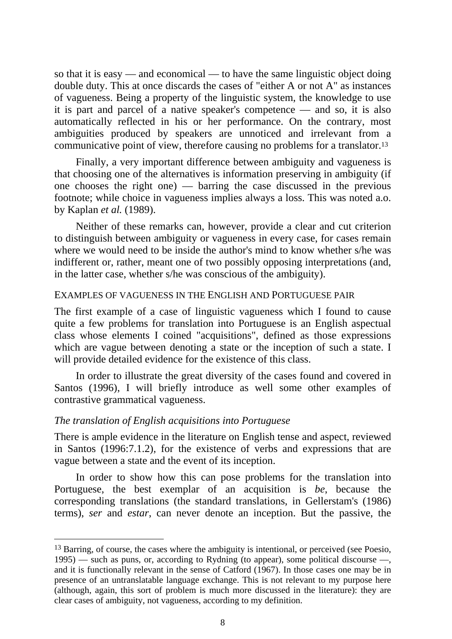so that it is easy — and economical — to have the same linguistic object doing double duty. This at once discards the cases of "either A or not A" as instances of vagueness. Being a property of the linguistic system, the knowledge to use it is part and parcel of a native speaker's competence — and so, it is also automatically reflected in his or her performance. On the contrary, most ambiguities produced by speakers are unnoticed and irrelevant from a communicative point of view, therefore causing no problems for a translator.13

Finally, a very important difference between ambiguity and vagueness is that choosing one of the alternatives is information preserving in ambiguity (if one chooses the right one) — barring the case discussed in the previous footnote; while choice in vagueness implies always a loss. This was noted a.o. by Kaplan *et al.* (1989).

Neither of these remarks can, however, provide a clear and cut criterion to distinguish between ambiguity or vagueness in every case, for cases remain where we would need to be inside the author's mind to know whether s/he was indifferent or, rather, meant one of two possibly opposing interpretations (and, in the latter case, whether s/he was conscious of the ambiguity).

#### EXAMPLES OF VAGUENESS IN THE ENGLISH AND PORTUGUESE PAIR

The first example of a case of linguistic vagueness which I found to cause quite a few problems for translation into Portuguese is an English aspectual class whose elements I coined "acquisitions", defined as those expressions which are vague between denoting a state or the inception of such a state. I will provide detailed evidence for the existence of this class.

In order to illustrate the great diversity of the cases found and covered in Santos (1996), I will briefly introduce as well some other examples of contrastive grammatical vagueness.

### *The translation of English acquisitions into Portuguese*

 $\overline{a}$ 

There is ample evidence in the literature on English tense and aspect, reviewed in Santos (1996:7.1.2), for the existence of verbs and expressions that are vague between a state and the event of its inception.

In order to show how this can pose problems for the translation into Portuguese, the best exemplar of an acquisition is *be*, because the corresponding translations (the standard translations, in Gellerstam's (1986) terms), *ser* and *estar*, can never denote an inception. But the passive, the

<sup>&</sup>lt;sup>13</sup> Barring, of course, the cases where the ambiguity is intentional, or perceived (see Poesio, 1995) — such as puns, or, according to Rydning (to appear), some political discourse —, and it is functionally relevant in the sense of Catford (1967). In those cases one may be in presence of an untranslatable language exchange. This is not relevant to my purpose here (although, again, this sort of problem is much more discussed in the literature): they are clear cases of ambiguity, not vagueness, according to my definition.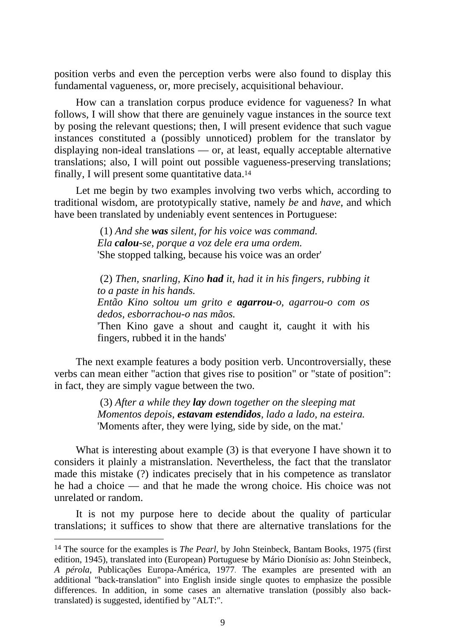position verbs and even the perception verbs were also found to display this fundamental vagueness, or, more precisely, acquisitional behaviour.

How can a translation corpus produce evidence for vagueness? In what follows, I will show that there are genuinely vague instances in the source text by posing the relevant questions; then, I will present evidence that such vague instances constituted a (possibly unnoticed) problem for the translator by displaying non-ideal translations — or, at least, equally acceptable alternative translations; also, I will point out possible vagueness-preserving translations; finally, I will present some quantitative data.14

Let me begin by two examples involving two verbs which, according to traditional wisdom, are prototypically stative, namely *be* and *have*, and which have been translated by undeniably event sentences in Portuguese:

> (1) *And she was silent, for his voice was command. Ela calou-se, porque a voz dele era uma ordem.*  'She stopped talking, because his voice was an order'

 (2) *Then, snarling, Kino had it, had it in his fingers, rubbing it to a paste in his hands. Então Kino soltou um grito e agarrou-o, agarrou-o com os dedos, esborrachou-o nas mãos.* 'Then Kino gave a shout and caught it, caught it with his fingers, rubbed it in the hands'

The next example features a body position verb. Uncontroversially, these verbs can mean either "action that gives rise to position" or "state of position": in fact, they are simply vague between the two.

> (3) *After a while they lay down together on the sleeping mat Momentos depois, estavam estendidos, lado a lado, na esteira.* 'Moments after, they were lying, side by side, on the mat.'

What is interesting about example (3) is that everyone I have shown it to considers it plainly a mistranslation. Nevertheless, the fact that the translator made this mistake (?) indicates precisely that in his competence as translator he had a choice — and that he made the wrong choice. His choice was not unrelated or random.

It is not my purpose here to decide about the quality of particular translations; it suffices to show that there are alternative translations for the

<sup>14</sup> The source for the examples is *The Pearl,* by John Steinbeck, Bantam Books, 1975 (first edition, 1945), translated into (European) Portuguese by Mário Dionísio as: John Steinbeck, *A pérola*, Publicações Europa-América, 1977. The examples are presented with an additional "back-translation" into English inside single quotes to emphasize the possible differences. In addition, in some cases an alternative translation (possibly also backtranslated) is suggested, identified by "ALT:".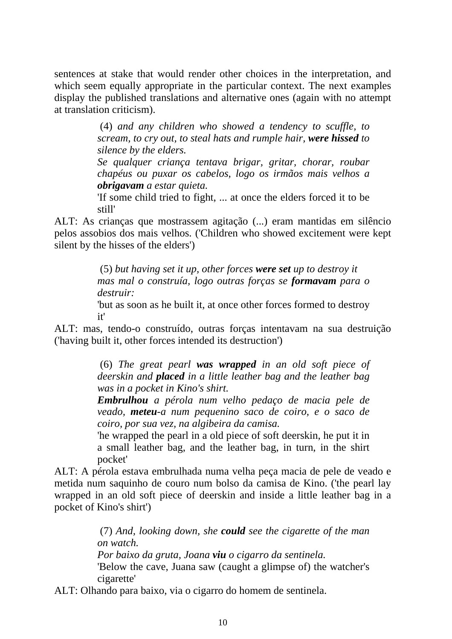sentences at stake that would render other choices in the interpretation, and which seem equally appropriate in the particular context. The next examples display the published translations and alternative ones (again with no attempt at translation criticism).

> (4) *and any children who showed a tendency to scuffle, to scream, to cry out, to steal hats and rumple hair, were hissed to silence by the elders.*

> *Se qualquer criança tentava brigar, gritar, chorar, roubar chapéus ou puxar os cabelos, logo os irmãos mais velhos a obrigavam a estar quieta.*

> 'If some child tried to fight, ... at once the elders forced it to be still'

ALT: As crianças que mostrassem agitação (...) eram mantidas em silêncio pelos assobios dos mais velhos. ('Children who showed excitement were kept silent by the hisses of the elders')

> (5) *but having set it up, other forces were set up to destroy it mas mal o construía, logo outras forças se formavam para o destruir:*

> 'but as soon as he built it, at once other forces formed to destroy it'

ALT: mas, tendo-o construído, outras forças intentavam na sua destruição ('having built it, other forces intended its destruction')

> (6) *The great pearl was wrapped in an old soft piece of deerskin and placed in a little leather bag and the leather bag was in a pocket in Kino's shirt.*

> *Embrulhou a pérola num velho pedaço de macia pele de veado, meteu-a num pequenino saco de coiro, e o saco de coiro, por sua vez, na algibeira da camisa.*

> 'he wrapped the pearl in a old piece of soft deerskin, he put it in a small leather bag, and the leather bag, in turn, in the shirt pocket'

ALT: A pérola estava embrulhada numa velha peça macia de pele de veado e metida num saquinho de couro num bolso da camisa de Kino. ('the pearl lay wrapped in an old soft piece of deerskin and inside a little leather bag in a pocket of Kino's shirt')

> (7) *And, looking down, she could see the cigarette of the man on watch. Por baixo da gruta, Joana viu o cigarro da sentinela.*  'Below the cave, Juana saw (caught a glimpse of) the watcher's cigarette'

ALT: Olhando para baixo, via o cigarro do homem de sentinela.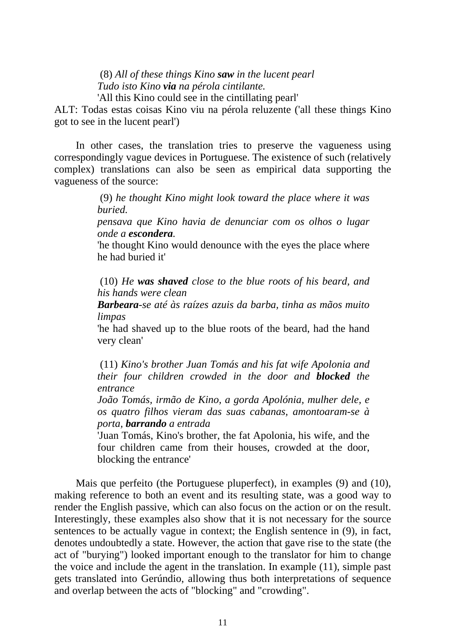(8) *All of these things Kino saw in the lucent pearl Tudo isto Kino via na pérola cintilante.* 

'All this Kino could see in the cintillating pearl'

ALT: Todas estas coisas Kino viu na pérola reluzente ('all these things Kino got to see in the lucent pearl')

In other cases, the translation tries to preserve the vagueness using correspondingly vague devices in Portuguese. The existence of such (relatively complex) translations can also be seen as empirical data supporting the vagueness of the source:

> (9) *he thought Kino might look toward the place where it was buried.*

> *pensava que Kino havia de denunciar com os olhos o lugar onde a escondera.*

> 'he thought Kino would denounce with the eyes the place where he had buried it'

> (10) *He was shaved close to the blue roots of his beard, and his hands were clean*

> *Barbeara-se até às raízes azuis da barba, tinha as mãos muito limpas*

> 'he had shaved up to the blue roots of the beard, had the hand very clean'

> (11) *Kino's brother Juan Tomás and his fat wife Apolonia and their four children crowded in the door and blocked the entrance*

> *João Tomás, irmão de Kino, a gorda Apolónia, mulher dele, e os quatro filhos vieram das suas cabanas, amontoaram-se à porta, barrando a entrada*

> 'Juan Tomás, Kino's brother, the fat Apolonia, his wife, and the four children came from their houses, crowded at the door, blocking the entrance'

Mais que perfeito (the Portuguese pluperfect), in examples (9) and (10), making reference to both an event and its resulting state, was a good way to render the English passive, which can also focus on the action or on the result. Interestingly, these examples also show that it is not necessary for the source sentences to be actually vague in context; the English sentence in (9), in fact, denotes undoubtedly a state. However, the action that gave rise to the state (the act of "burying") looked important enough to the translator for him to change the voice and include the agent in the translation. In example (11), simple past gets translated into Gerúndio, allowing thus both interpretations of sequence and overlap between the acts of "blocking" and "crowding".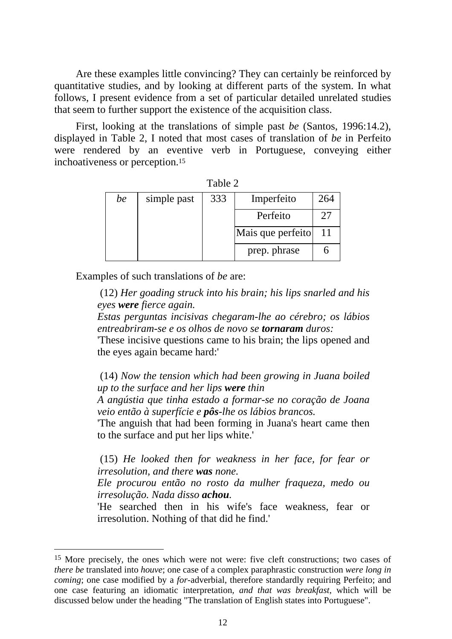Are these examples little convincing? They can certainly be reinforced by quantitative studies, and by looking at different parts of the system. In what follows, I present evidence from a set of particular detailed unrelated studies that seem to further support the existence of the acquisition class.

First, looking at the translations of simple past *be* (Santos, 1996:14.2), displayed in Table 2, I noted that most cases of translation of *be* in Perfeito were rendered by an eventive verb in Portuguese, conveying either inchoativeness or perception.15

| $1$ ave $\omega$ |             |                   |              |     |  |  |  |
|------------------|-------------|-------------------|--------------|-----|--|--|--|
| be               | simple past | 333               | Imperfeito   | 264 |  |  |  |
|                  |             |                   | Perfeito     | 27  |  |  |  |
|                  |             | Mais que perfeito |              | 11  |  |  |  |
|                  |             |                   | prep. phrase |     |  |  |  |

| anle |  |  |  |
|------|--|--|--|
|------|--|--|--|

Examples of such translations of *be* are:

 $\overline{a}$ 

 (12) *Her goading struck into his brain; his lips snarled and his eyes were fierce again.* 

*Estas perguntas incisivas chegaram-lhe ao cérebro; os lábios entreabriram-se e os olhos de novo se tornaram duros:* 

'These incisive questions came to his brain; the lips opened and the eyes again became hard:'

 (14) *Now the tension which had been growing in Juana boiled up to the surface and her lips were thin* 

*A angústia que tinha estado a formar-se no coração de Joana veio então à superfície e pôs-lhe os lábios brancos.* 

'The anguish that had been forming in Juana's heart came then to the surface and put her lips white.'

 (15) *He looked then for weakness in her face, for fear or irresolution, and there was none.* 

*Ele procurou então no rosto da mulher fraqueza, medo ou irresolução. Nada disso achou.* 

'He searched then in his wife's face weakness, fear or irresolution. Nothing of that did he find.'

<sup>15</sup> More precisely, the ones which were not were: five cleft constructions; two cases of *there be* translated into *houve*; one case of a complex paraphrastic construction *were long in coming*; one case modified by a *for*-adverbial, therefore standardly requiring Perfeito; and one case featuring an idiomatic interpretation*, and that was breakfast*, which will be discussed below under the heading "The translation of English states into Portuguese".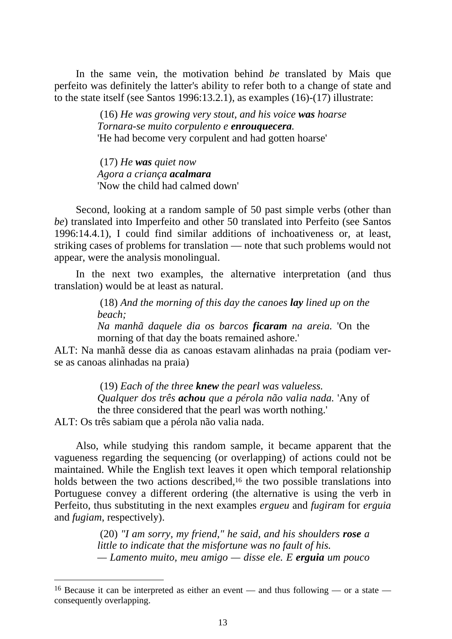In the same vein, the motivation behind *be* translated by Mais que perfeito was definitely the latter's ability to refer both to a change of state and to the state itself (see Santos 1996:13.2.1), as examples (16)-(17) illustrate:

> (16) *He was growing very stout, and his voice was hoarse Tornara-se muito corpulento e enrouquecera.*  'He had become very corpulent and had gotten hoarse'

 (17) *He was quiet now Agora a criança acalmara*  'Now the child had calmed down'

Second, looking at a random sample of 50 past simple verbs (other than *be*) translated into Imperfeito and other 50 translated into Perfeito (see Santos 1996:14.4.1), I could find similar additions of inchoativeness or, at least, striking cases of problems for translation — note that such problems would not appear, were the analysis monolingual.

In the next two examples, the alternative interpretation (and thus translation) would be at least as natural.

> (18) *And the morning of this day the canoes lay lined up on the beach;*

> *Na manhã daquele dia os barcos ficaram na areia.* 'On the morning of that day the boats remained ashore.'

ALT: Na manhã desse dia as canoas estavam alinhadas na praia (podiam verse as canoas alinhadas na praia)

> (19) *Each of the three knew the pearl was valueless. Qualquer dos três achou que a pérola não valia nada.* 'Any of the three considered that the pearl was worth nothing.'

ALT: Os três sabiam que a pérola não valia nada.

 $\overline{a}$ 

Also, while studying this random sample, it became apparent that the vagueness regarding the sequencing (or overlapping) of actions could not be maintained. While the English text leaves it open which temporal relationship holds between the two actions described,<sup>16</sup> the two possible translations into Portuguese convey a different ordering (the alternative is using the verb in Perfeito, thus substituting in the next examples *ergueu* and *fugiram* for *erguia* and *fugiam*, respectively).

> (20) *"I am sorry, my friend," he said, and his shoulders rose a little to indicate that the misfortune was no fault of his. — Lamento muito, meu amigo — disse ele. E erguia um pouco*

<sup>16</sup> Because it can be interpreted as either an event — and thus following — or a state consequently overlapping.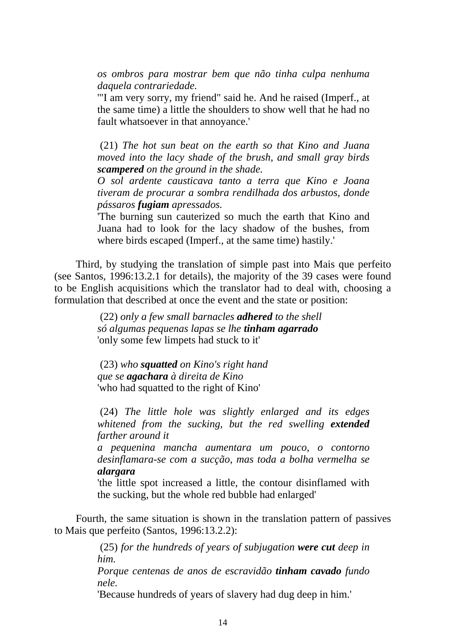*os ombros para mostrar bem que não tinha culpa nenhuma daquela contrariedade.* 

'"I am very sorry, my friend" said he. And he raised (Imperf., at the same time) a little the shoulders to show well that he had no fault whatsoever in that annoyance.'

 (21) *The hot sun beat on the earth so that Kino and Juana moved into the lacy shade of the brush, and small gray birds scampered on the ground in the shade.* 

*O sol ardente causticava tanto a terra que Kino e Joana tiveram de procurar a sombra rendilhada dos arbustos, donde pássaros fugiam apressados.* 

'The burning sun cauterized so much the earth that Kino and Juana had to look for the lacy shadow of the bushes, from where birds escaped (Imperf., at the same time) hastily.'

Third, by studying the translation of simple past into Mais que perfeito (see Santos, 1996:13.2.1 for details), the majority of the 39 cases were found to be English acquisitions which the translator had to deal with, choosing a formulation that described at once the event and the state or position:

> (22) *only a few small barnacles adhered to the shell só algumas pequenas lapas se lhe tinham agarrado*  'only some few limpets had stuck to it'

 (23) *who squatted on Kino's right hand que se agachara à direita de Kino* 'who had squatted to the right of Kino'

 (24) *The little hole was slightly enlarged and its edges whitened from the sucking, but the red swelling extended farther around it* 

*a pequenina mancha aumentara um pouco, o contorno desinflamara-se com a sucção, mas toda a bolha vermelha se alargara*

'the little spot increased a little, the contour disinflamed with the sucking, but the whole red bubble had enlarged'

Fourth, the same situation is shown in the translation pattern of passives to Mais que perfeito (Santos, 1996:13.2.2):

> (25) *for the hundreds of years of subjugation were cut deep in him.*

> *Porque centenas de anos de escravidão tinham cavado fundo nele.*

'Because hundreds of years of slavery had dug deep in him.'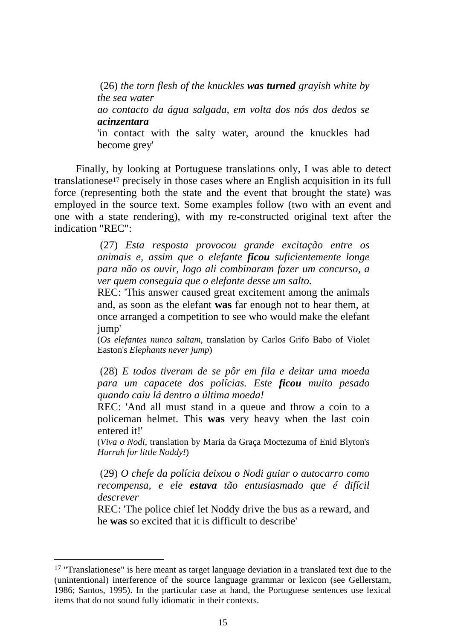(26) *the torn flesh of the knuckles was turned grayish white by the sea water ao contacto da água salgada, em volta dos nós dos dedos se acinzentara*  'in contact with the salty water, around the knuckles had become grey'

Finally, by looking at Portuguese translations only, I was able to detect translationese17 precisely in those cases where an English acquisition in its full force (representing both the state and the event that brought the state) was employed in the source text. Some examples follow (two with an event and one with a state rendering), with my re-constructed original text after the indication "REC":

> (27) *Esta resposta provocou grande excitação entre os animais e, assim que o elefante ficou suficientemente longe para não os ouvir, logo ali combinaram fazer um concurso, a ver quem conseguia que o elefante desse um salto.*

> REC: 'This answer caused great excitement among the animals and, as soon as the elefant **was** far enough not to hear them, at once arranged a competition to see who would make the elefant jump'

> (*Os elefantes nunca saltam*, translation by Carlos Grifo Babo of Violet Easton's *Elephants never jump*)

> (28) *E todos tiveram de se pôr em fila e deitar uma moeda para um capacete dos polícias. Este ficou muito pesado quando caiu lá dentro a última moeda!*

> REC: 'And all must stand in a queue and throw a coin to a policeman helmet. This **was** very heavy when the last coin entered it!'

> (*Viva o Nodi*, translation by Maria da Graça Moctezuma of Enid Blyton's *Hurrah for little Noddy!*)

> (29) *O chefe da polícia deixou o Nodi guiar o autocarro como recompensa, e ele estava tão entusiasmado que é difícil descrever*

> REC: 'The police chief let Noddy drive the bus as a reward, and he **was** so excited that it is difficult to describe'

 $17$  "Translationese" is here meant as target language deviation in a translated text due to the (unintentional) interference of the source language grammar or lexicon (see Gellerstam, 1986; Santos, 1995). In the particular case at hand, the Portuguese sentences use lexical items that do not sound fully idiomatic in their contexts.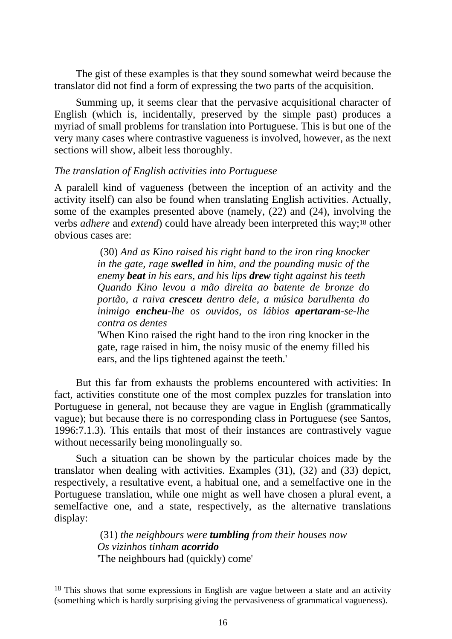The gist of these examples is that they sound somewhat weird because the translator did not find a form of expressing the two parts of the acquisition.

Summing up, it seems clear that the pervasive acquisitional character of English (which is, incidentally, preserved by the simple past) produces a myriad of small problems for translation into Portuguese. This is but one of the very many cases where contrastive vagueness is involved, however, as the next sections will show, albeit less thoroughly.

## *The translation of English activities into Portuguese*

A paralell kind of vagueness (between the inception of an activity and the activity itself) can also be found when translating English activities. Actually, some of the examples presented above (namely, (22) and (24), involving the verbs *adhere* and *extend*) could have already been interpreted this way;18 other obvious cases are:

> (30) *And as Kino raised his right hand to the iron ring knocker in the gate, rage swelled in him, and the pounding music of the enemy beat in his ears, and his lips drew tight against his teeth Quando Kino levou a mão direita ao batente de bronze do portão, a raiva cresceu dentro dele, a música barulhenta do inimigo encheu-lhe os ouvidos, os lábios apertaram-se-lhe contra os dentes*

> 'When Kino raised the right hand to the iron ring knocker in the gate, rage raised in him, the noisy music of the enemy filled his ears, and the lips tightened against the teeth.'

But this far from exhausts the problems encountered with activities: In fact, activities constitute one of the most complex puzzles for translation into Portuguese in general, not because they are vague in English (grammatically vague); but because there is no corresponding class in Portuguese (see Santos, 1996:7.1.3). This entails that most of their instances are contrastively vague without necessarily being monolingually so.

Such a situation can be shown by the particular choices made by the translator when dealing with activities. Examples (31), (32) and (33) depict, respectively, a resultative event, a habitual one, and a semelfactive one in the Portuguese translation, while one might as well have chosen a plural event, a semelfactive one, and a state, respectively, as the alternative translations display:

> (31) *the neighbours were tumbling from their houses now Os vizinhos tinham acorrido* 'The neighbours had (quickly) come'

<sup>&</sup>lt;sup>18</sup> This shows that some expressions in English are vague between a state and an activity (something which is hardly surprising giving the pervasiveness of grammatical vagueness).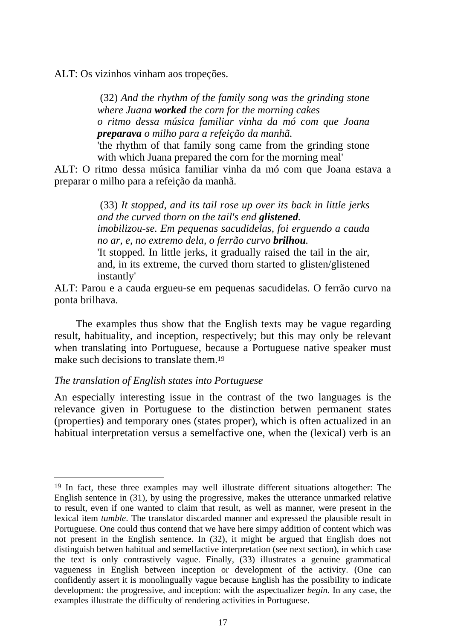ALT: Os vizinhos vinham aos tropeções.

 (32) *And the rhythm of the family song was the grinding stone where Juana worked the corn for the morning cakes o ritmo dessa música familiar vinha da mó com que Joana preparava o milho para a refeição da manhã.*

'the rhythm of that family song came from the grinding stone with which Juana prepared the corn for the morning meal'

ALT: O ritmo dessa música familiar vinha da mó com que Joana estava a preparar o milho para a refeição da manhã.

> (33) *It stopped, and its tail rose up over its back in little jerks and the curved thorn on the tail's end glistened. imobilizou-se. Em pequenas sacudidelas, foi erguendo a cauda no ar, e, no extremo dela, o ferrão curvo brilhou.*  'It stopped. In little jerks, it gradually raised the tail in the air, and, in its extreme, the curved thorn started to glisten/glistened instantly'

ALT: Parou e a cauda ergueu-se em pequenas sacudidelas. O ferrão curvo na ponta brilhava.

The examples thus show that the English texts may be vague regarding result, habituality, and inception, respectively; but this may only be relevant when translating into Portuguese, because a Portuguese native speaker must make such decisions to translate them.19

# *The translation of English states into Portuguese*

 $\overline{a}$ 

An especially interesting issue in the contrast of the two languages is the relevance given in Portuguese to the distinction betwen permanent states (properties) and temporary ones (states proper), which is often actualized in an habitual interpretation versus a semelfactive one, when the (lexical) verb is an

<sup>19</sup> In fact, these three examples may well illustrate different situations altogether: The English sentence in (31), by using the progressive, makes the utterance unmarked relative to result, even if one wanted to claim that result, as well as manner, were present in the lexical item *tumble*. The translator discarded manner and expressed the plausible result in Portuguese. One could thus contend that we have here simpy addition of content which was not present in the English sentence. In (32), it might be argued that English does not distinguish betwen habitual and semelfactive interpretation (see next section), in which case the text is only contrastively vague. Finally, (33) illustrates a genuine grammatical vagueness in English between inception or development of the activity. (One can confidently assert it is monolingually vague because English has the possibility to indicate development: the progressive, and inception: with the aspectualizer *begin*. In any case, the examples illustrate the difficulty of rendering activities in Portuguese.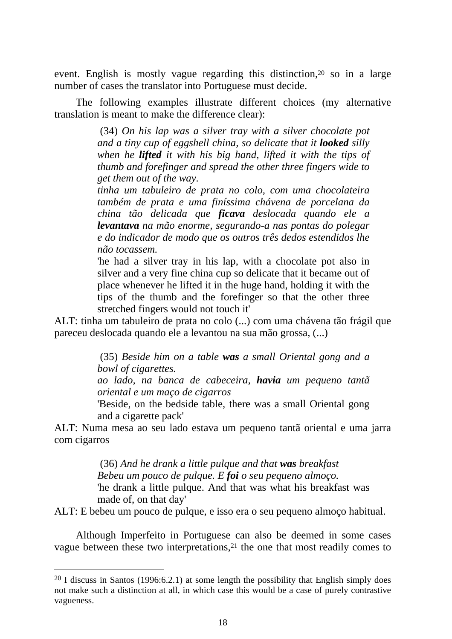event. English is mostly vague regarding this distinction,<sup>20</sup> so in a large number of cases the translator into Portuguese must decide.

The following examples illustrate different choices (my alternative translation is meant to make the difference clear):

> (34) *On his lap was a silver tray with a silver chocolate pot and a tiny cup of eggshell china, so delicate that it looked silly when he lifted it with his big hand, lifted it with the tips of thumb and forefinger and spread the other three fingers wide to get them out of the way.*

> *tinha um tabuleiro de prata no colo, com uma chocolateira também de prata e uma finíssima chávena de porcelana da china tão delicada que ficava deslocada quando ele a levantava na mão enorme, segurando-a nas pontas do polegar e do indicador de modo que os outros três dedos estendidos lhe não tocassem.*

> 'he had a silver tray in his lap, with a chocolate pot also in silver and a very fine china cup so delicate that it became out of place whenever he lifted it in the huge hand, holding it with the tips of the thumb and the forefinger so that the other three stretched fingers would not touch it'

ALT: tinha um tabuleiro de prata no colo (...) com uma chávena tão frágil que pareceu deslocada quando ele a levantou na sua mão grossa, (...)

> (35) *Beside him on a table was a small Oriental gong and a bowl of cigarettes.*

> *ao lado, na banca de cabeceira, havia um pequeno tantã oriental e um maço de cigarros*

> 'Beside, on the bedside table, there was a small Oriental gong and a cigarette pack'

ALT: Numa mesa ao seu lado estava um pequeno tantã oriental e uma jarra com cigarros

> (36) *And he drank a little pulque and that was breakfast Bebeu um pouco de pulque. E foi o seu pequeno almoço.*  'he drank a little pulque. And that was what his breakfast was made of, on that day'

ALT: E bebeu um pouco de pulque, e isso era o seu pequeno almoço habitual.

Although Imperfeito in Portuguese can also be deemed in some cases vague between these two interpretations,21 the one that most readily comes to

<sup>&</sup>lt;sup>20</sup> I discuss in Santos (1996:6.2.1) at some length the possibility that English simply does not make such a distinction at all, in which case this would be a case of purely contrastive vagueness.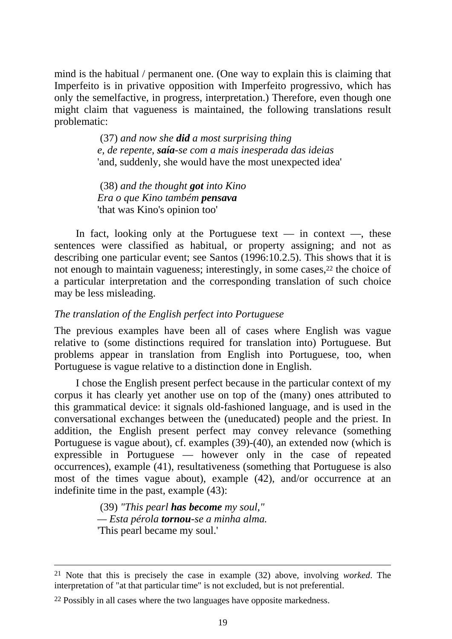mind is the habitual / permanent one. (One way to explain this is claiming that Imperfeito is in privative opposition with Imperfeito progressivo, which has only the semelfactive, in progress, interpretation.) Therefore, even though one might claim that vagueness is maintained, the following translations result problematic:

> (37) *and now she did a most surprising thing e, de repente, saía-se com a mais inesperada das ideias*  'and, suddenly, she would have the most unexpected idea'

 (38) *and the thought got into Kino Era o que Kino também pensava* 'that was Kino's opinion too'

In fact, looking only at the Portuguese text  $-$  in context  $-$ , these sentences were classified as habitual, or property assigning; and not as describing one particular event; see Santos (1996:10.2.5). This shows that it is not enough to maintain vagueness; interestingly, in some cases,<sup>22</sup> the choice of a particular interpretation and the corresponding translation of such choice may be less misleading.

# *The translation of the English perfect into Portuguese*

The previous examples have been all of cases where English was vague relative to (some distinctions required for translation into) Portuguese. But problems appear in translation from English into Portuguese, too, when Portuguese is vague relative to a distinction done in English.

I chose the English present perfect because in the particular context of my corpus it has clearly yet another use on top of the (many) ones attributed to this grammatical device: it signals old-fashioned language, and is used in the conversational exchanges between the (uneducated) people and the priest. In addition, the English present perfect may convey relevance (something Portuguese is vague about), cf. examples (39)-(40), an extended now (which is expressible in Portuguese — however only in the case of repeated occurrences), example (41), resultativeness (something that Portuguese is also most of the times vague about), example (42), and/or occurrence at an indefinite time in the past, example (43):

> (39) *"This pearl has become my soul," — Esta pérola tornou-se a minha alma.*  'This pearl became my soul.'

 <sup>21</sup> Note that this is precisely the case in example (32) above, involving *worked*. The interpretation of "at that particular time" is not excluded, but is not preferential.

<sup>&</sup>lt;sup>22</sup> Possibly in all cases where the two languages have opposite markedness.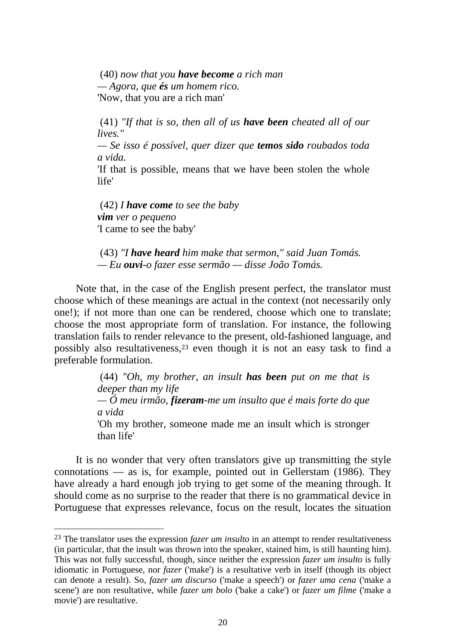(40) *now that you have become a rich man — Agora, que és um homem rico.*  'Now, that you are a rich man'

 (41) *"If that is so, then all of us have been cheated all of our lives."* 

*— Se isso é possível, quer dizer que temos sido roubados toda a vida.* 

'If that is possible, means that we have been stolen the whole life'

 (42) *I have come to see the baby vim ver o pequeno*  'I came to see the baby'

 $\overline{a}$ 

 (43) *"I have heard him make that sermon," said Juan Tomás. — Eu ouvi-o fazer esse sermão — disse João Tomás.* 

Note that, in the case of the English present perfect, the translator must choose which of these meanings are actual in the context (not necessarily only one!); if not more than one can be rendered, choose which one to translate; choose the most appropriate form of translation. For instance, the following translation fails to render relevance to the present, old-fashioned language, and possibly also resultativeness,23 even though it is not an easy task to find a preferable formulation.

> (44) *"Oh, my brother, an insult has been put on me that is deeper than my life — Ó meu irmão, fizeram-me um insulto que é mais forte do que a vida*  'Oh my brother, someone made me an insult which is stronger than life'

It is no wonder that very often translators give up transmitting the style connotations — as is, for example, pointed out in Gellerstam (1986). They have already a hard enough job trying to get some of the meaning through. It should come as no surprise to the reader that there is no grammatical device in Portuguese that expresses relevance, focus on the result, locates the situation

<sup>23</sup> The translator uses the expression *fazer um insulto* in an attempt to render resultativeness (in particular, that the insult was thrown into the speaker, stained him, is still haunting him). This was not fully successful, though, since neither the expression *fazer um insulto* is fully idiomatic in Portuguese, nor *fazer* ('make') is a resultative verb in itself (though its object can denote a result). So, *fazer um discurso* ('make a speech') or *fazer uma cena* ('make a scene') are non resultative, while *fazer um bolo* ('bake a cake') or *fazer um filme* ('make a movie') are resultative.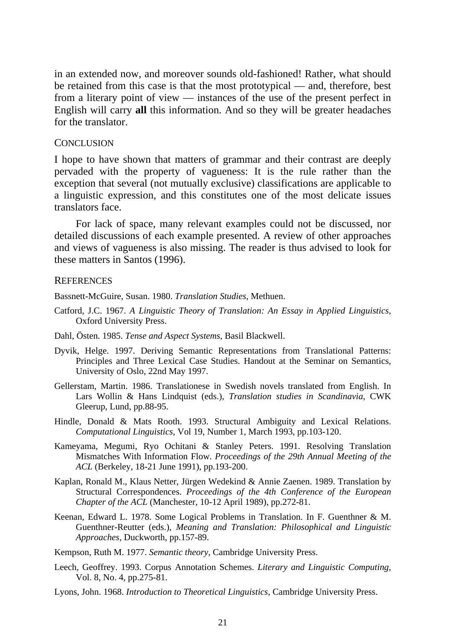in an extended now, and moreover sounds old-fashioned! Rather, what should be retained from this case is that the most prototypical — and, therefore, best from a literary point of view — instances of the use of the present perfect in English will carry **all** this information. And so they will be greater headaches for the translator.

#### **CONCLUSION**

I hope to have shown that matters of grammar and their contrast are deeply pervaded with the property of vagueness: It is the rule rather than the exception that several (not mutually exclusive) classifications are applicable to a linguistic expression, and this constitutes one of the most delicate issues translators face.

For lack of space, many relevant examples could not be discussed, nor detailed discussions of each example presented. A review of other approaches and views of vagueness is also missing. The reader is thus advised to look for these matters in Santos (1996).

#### **REFERENCES**

Bassnett-McGuire, Susan. 1980. *Translation Studies*, Methuen.

- Catford, J.C. 1967. *A Linguistic Theory of Translation: An Essay in Applied Linguistics,*  Oxford University Press.
- Dahl, Östen. 1985. *Tense and Aspect Systems*, Basil Blackwell.
- Dyvik, Helge. 1997. Deriving Semantic Representations from Translational Patterns: Principles and Three Lexical Case Studies. Handout at the Seminar on Semantics, University of Oslo, 22nd May 1997.
- Gellerstam, Martin. 1986. Translationese in Swedish novels translated from English. In Lars Wollin & Hans Lindquist (eds.), *Translation studies in Scandinavia*, CWK Gleerup, Lund, pp.88-95.
- Hindle, Donald & Mats Rooth. 1993. Structural Ambiguity and Lexical Relations. *Computational Linguistics,* Vol 19, Number 1, March 1993, pp.103-120.
- Kameyama, Megumi, Ryo Ochitani & Stanley Peters. 1991. Resolving Translation Mismatches With Information Flow. *Proceedings of the 29th Annual Meeting of the ACL* (Berkeley, 18-21 June 1991), pp.193-200.
- Kaplan, Ronald M., Klaus Netter, Jürgen Wedekind & Annie Zaenen. 1989. Translation by Structural Correspondences. *Proceedings of the 4th Conference of the European Chapter of the ACL* (Manchester, 10-12 April 1989), pp.272-81.
- Keenan, Edward L. 1978. Some Logical Problems in Translation. In F. Guenthner & M. Guenthner-Reutter (eds.), *Meaning and Translation: Philosophical and Linguistic Approaches,* Duckworth, pp.157-89.

Kempson, Ruth M. 1977. *Semantic theory*, Cambridge University Press.

- Leech, Geoffrey. 1993. Corpus Annotation Schemes. *Literary and Linguistic Computing*, Vol. 8, No. 4, pp.275-81.
- Lyons, John. 1968. *Introduction to Theoretical Linguistics*, Cambridge University Press.